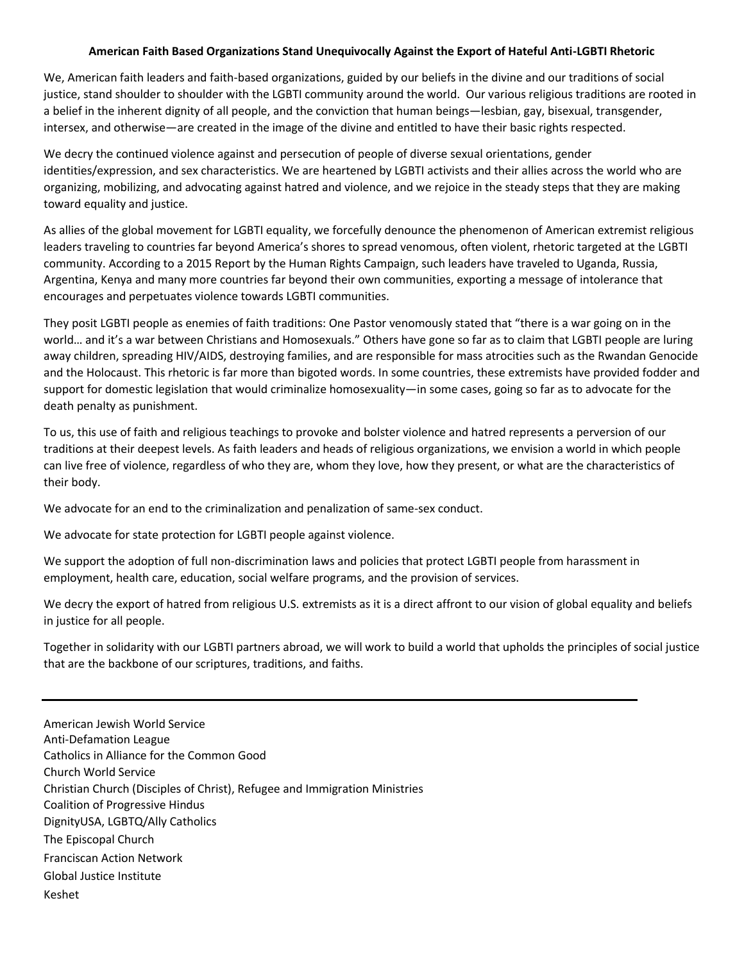## **American Faith Based Organizations Stand Unequivocally Against the Export of Hateful Anti-LGBTI Rhetoric**

We, American faith leaders and faith-based organizations, guided by our beliefs in the divine and our traditions of social justice, stand shoulder to shoulder with the LGBTI community around the world. Our various religious traditions are rooted in a belief in the inherent dignity of all people, and the conviction that human beings—lesbian, gay, bisexual, transgender, intersex, and otherwise—are created in the image of the divine and entitled to have their basic rights respected.

We decry the continued violence against and persecution of people of diverse sexual orientations, gender identities/expression, and sex characteristics. We are heartened by LGBTI activists and their allies across the world who are organizing, mobilizing, and advocating against hatred and violence, and we rejoice in the steady steps that they are making toward equality and justice.

As allies of the global movement for LGBTI equality, we forcefully denounce the phenomenon of American extremist religious leaders traveling to countries far beyond America's shores to spread venomous, often violent, rhetoric targeted at the LGBTI community. According to a 2015 Report by the Human Rights Campaign, such leaders have traveled to Uganda, Russia, Argentina, Kenya and many more countries far beyond their own communities, exporting a message of intolerance that encourages and perpetuates violence towards LGBTI communities.

They posit LGBTI people as enemies of faith traditions: One Pastor venomously stated that "there is a war going on in the world… and it's a war between Christians and Homosexuals." Others have gone so far as to claim that LGBTI people are luring away children, spreading HIV/AIDS, destroying families, and are responsible for mass atrocities such as the Rwandan Genocide and the Holocaust. This rhetoric is far more than bigoted words. In some countries, these extremists have provided fodder and support for domestic legislation that would criminalize homosexuality—in some cases, going so far as to advocate for the death penalty as punishment.

To us, this use of faith and religious teachings to provoke and bolster violence and hatred represents a perversion of our traditions at their deepest levels. As faith leaders and heads of religious organizations, we envision a world in which people can live free of violence, regardless of who they are, whom they love, how they present, or what are the characteristics of their body.

We advocate for an end to the criminalization and penalization of same-sex conduct.

We advocate for state protection for LGBTI people against violence.

We support the adoption of full non-discrimination laws and policies that protect LGBTI people from harassment in employment, health care, education, social welfare programs, and the provision of services.

We decry the export of hatred from religious U.S. extremists as it is a direct affront to our vision of global equality and beliefs in justice for all people.

Together in solidarity with our LGBTI partners abroad, we will work to build a world that upholds the principles of social justice that are the backbone of our scriptures, traditions, and faiths.

American Jewish World Service Anti-Defamation League Catholics in Alliance for the Common Good Church World Service Christian Church (Disciples of Christ), Refugee and Immigration Ministries Coalition of Progressive Hindus DignityUSA, LGBTQ/Ally Catholics The Episcopal Church Franciscan Action Network Global Justice Institute Keshet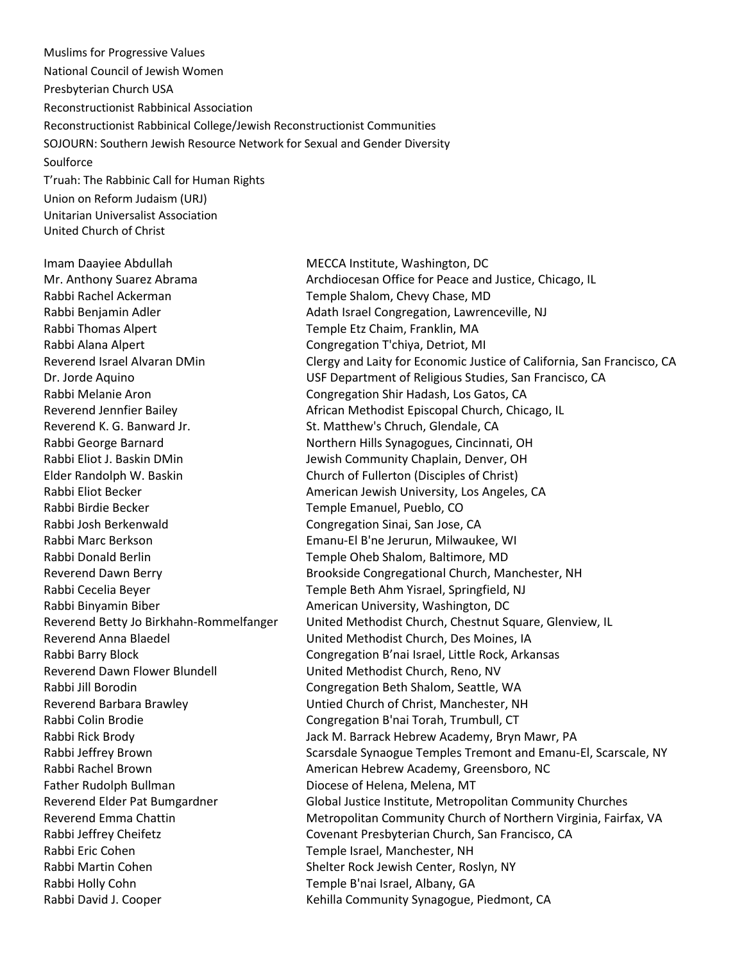Muslims for Progressive Values National Council of Jewish Women Presbyterian Church USA Reconstructionist Rabbinical Association Reconstructionist Rabbinical College/Jewish Reconstructionist Communities SOJOURN: Southern Jewish Resource Network for Sexual and Gender Diversity **Soulforce** T'ruah: The Rabbinic Call for Human Rights Union on Reform Judaism (URJ) Unitarian Universalist Association

Imam Daayiee Abdullah MECCA Institute, Washington, DC Rabbi Rachel Ackerman Temple Shalom, Chevy Chase, MD Rabbi Thomas Alpert Temple Etz Chaim, Franklin, MA Rabbi Alana Alpert Congregation T'chiya, Detriot, MI Rabbi Melanie Aron Congregation Shir Hadash, Los Gatos, CA Reverend K. G. Banward Jr. St. Matthew's Chruch, Glendale, CA Rabbi Eliot J. Baskin DMin Jewish Community Chaplain, Denver, OH Elder Randolph W. Baskin Church of Fullerton (Disciples of Christ) Rabbi Birdie Becker Temple Emanuel, Pueblo, CO Rabbi Josh Berkenwald Congregation Sinai, San Jose, CA Rabbi Marc Berkson Emanu-El B'ne Jerurun, Milwaukee, WI Rabbi Donald Berlin Temple Oheb Shalom, Baltimore, MD Rabbi Cecelia Beyer Temple Beth Ahm Yisrael, Springfield, NJ Rabbi Binyamin Biber **American University, Washington, DC** Reverend Anna Blaedel United Methodist Church, Des Moines, IA Reverend Dawn Flower Blundell **Network** United Methodist Church, Reno, NV Rabbi Jill Borodin **Congregation Beth Shalom, Seattle, WA** Reverend Barbara Brawley **National Exercise Church of Christ, Manchester, NH** Rabbi Colin Brodie Congregation B'nai Torah, Trumbull, CT Father Rudolph Bullman **Diocese of Helena, Melena, MT** Rabbi Eric Cohen Temple Israel, Manchester, NH Rabbi Martin Cohen Shelter Rock Jewish Center, Roslyn, NY Rabbi Holly Cohn Temple B'nai Israel, Albany, GA

United Church of Christ

Mr. Anthony Suarez Abrama Archdiocesan Office for Peace and Justice, Chicago, IL Rabbi Benjamin Adler **Adath Israel Congregation, Lawrenceville, NJ** Adath Israel Congregation, Lawrenceville, NJ Reverend Israel Alvaran DMin Clergy and Laity for Economic Justice of California, San Francisco, CA Dr. Jorde Aquino USF Department of Religious Studies, San Francisco, CA Reverend Jennfier Bailey **African Methodist Episcopal Church, Chicago, IL** Rabbi George Barnard Northern Hills Synagogues, Cincinnati, OH Rabbi Eliot Becker **American Jewish University, Los Angeles, CA** Reverend Dawn Berry **Brookside Congregational Church, Manchester, NH** Reverend Betty Jo Birkhahn-Rommelfanger United Methodist Church, Chestnut Square, Glenview, IL Rabbi Barry Block **Congregation B'nai Israel, Little Rock, Arkansas** Rabbi Rick Brody Jack M. Barrack Hebrew Academy, Bryn Mawr, PA Rabbi Jeffrey Brown Scarsdale Synaogue Temples Tremont and Emanu-El, Scarscale, NY Rabbi Rachel Brown **American Hebrew Academy, Greensboro, NC** Reverend Elder Pat Bumgardner Global Justice Institute, Metropolitan Community Churches Reverend Emma Chattin **Metropolitan Community Church of Northern Virginia, Fairfax, VA** Rabbi Jeffrey Cheifetz **Covenant Presbyterian Church, San Francisco**, CA Rabbi David J. Cooper The Community Synagogue, Piedmont, CA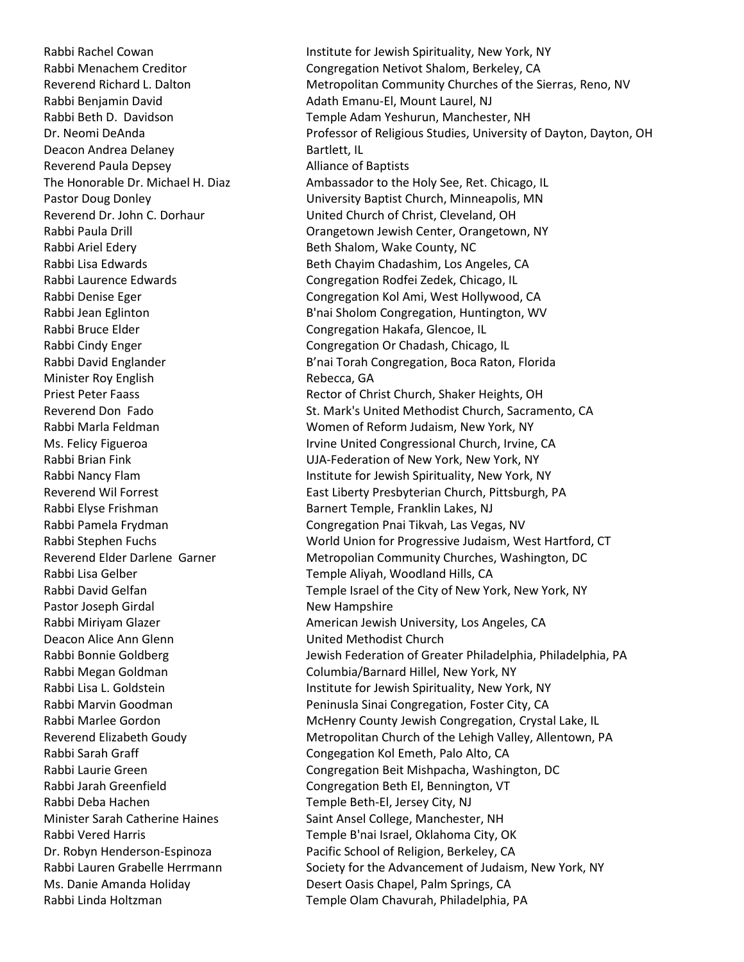Rabbi Benjamin David **Adath Emanu-El, Mount Laurel, NJ** Deacon Andrea Delaney **Bartlett**, IL Reverend Paula Depsey **Alliance of Baptists** Rabbi Ariel Edery **Beth Shalom, Wake County, NC** Rabbi Bruce Elder Congregation Hakafa, Glencoe, IL Minister Roy English Rebecca, GA Pastor Joseph Girdal New Hampshire Deacon Alice Ann Glenn United Methodist Church Rabbi Deba Hachen Temple Beth-El, Jersey City, NJ

Rabbi Rachel Cowan **Institute for Jewish Spirituality, New York, NY** Rabbi Menachem Creditor **Congregation Netivot Shalom, Berkeley, CA** Reverend Richard L. Dalton Metropolitan Community Churches of the Sierras, Reno, NV Rabbi Beth D. Davidson Temple Adam Yeshurun, Manchester, NH Dr. Neomi DeAnda **Professor of Religious Studies, University of Dayton, Dayton, OH** The Honorable Dr. Michael H. Diaz Ambassador to the Holy See, Ret. Chicago, IL Pastor Doug Donley University Baptist Church, Minneapolis, MN Reverend Dr. John C. Dorhaur United Church of Christ, Cleveland, OH Rabbi Paula Drill Orangetown Jewish Center, Orangetown, NY Rabbi Lisa Edwards **Beth Chayim Chadashim, Los Angeles, CA** Rabbi Laurence Edwards The Congregation Rodfei Zedek, Chicago, IL Rabbi Denise Eger Congregation Kol Ami, West Hollywood, CA Rabbi Jean Eglinton **B'nai Sholom Congregation, Huntington, WV** Rabbi Cindy Enger **Congregation Or Chadash, Chicago, IL** Rabbi David Englander **B'nai Torah Congregation, Boca Raton, Florida** Priest Peter Faass **Rector of Christ Church, Shaker Heights, OH** Reverend Don Fado St. Mark's United Methodist Church, Sacramento, CA Rabbi Marla Feldman Women of Reform Judaism, New York, NY Ms. Felicy Figueroa **International Church, Irvine, CA** Irvine United Congressional Church, Irvine, CA Rabbi Brian Fink UJA-Federation of New York, New York, NY Rabbi Nancy Flam **Institute for Jewish Spirituality, New York, NY** Reverend Wil Forrest **East Liberty Presbyterian Church, Pittsburgh**, PA Rabbi Elyse Frishman Barnert Temple, Franklin Lakes, NJ Rabbi Pamela Frydman Congregation Pnai Tikvah, Las Vegas, NV Rabbi Stephen Fuchs World Union for Progressive Judaism, West Hartford, CT Reverend Elder Darlene Garner Metropolian Community Churches, Washington, DC Rabbi Lisa Gelber Temple Aliyah, Woodland Hills, CA Rabbi David Gelfan Temple Israel of the City of New York, New York, NY Rabbi Miriyam Glazer **American Jewish University, Los Angeles, CA** Rabbi Bonnie Goldberg **Jewish Federation of Greater Philadelphia**, Philadelphia, PA Rabbi Megan Goldman Columbia/Barnard Hillel, New York, NY Rabbi Lisa L. Goldstein **Institute for Jewish Spirituality, New York, NY** Rabbi Marvin Goodman Peninusla Sinai Congregation, Foster City, CA Rabbi Marlee Gordon Theorem McHenry County Jewish Congregation, Crystal Lake, IL Reverend Elizabeth Goudy **Metropolitan Church of the Lehigh Valley, Allentown**, PA Rabbi Sarah Graff **Congegation Kol Emeth, Palo Alto, CA** Rabbi Laurie Green Congregation Beit Mishpacha, Washington, DC Rabbi Jarah Greenfield Congregation Beth El, Bennington, VT Minister Sarah Catherine Haines Saint Ansel College, Manchester, NH Rabbi Vered Harris Temple B'nai Israel, Oklahoma City, OK Dr. Robyn Henderson-Espinoza Pacific School of Religion, Berkeley, CA Rabbi Lauren Grabelle Herrmann Society for the Advancement of Judaism, New York, NY Ms. Danie Amanda Holiday Desert Oasis Chapel, Palm Springs, CA Rabbi Linda Holtzman Temple Olam Chavurah, Philadelphia, PA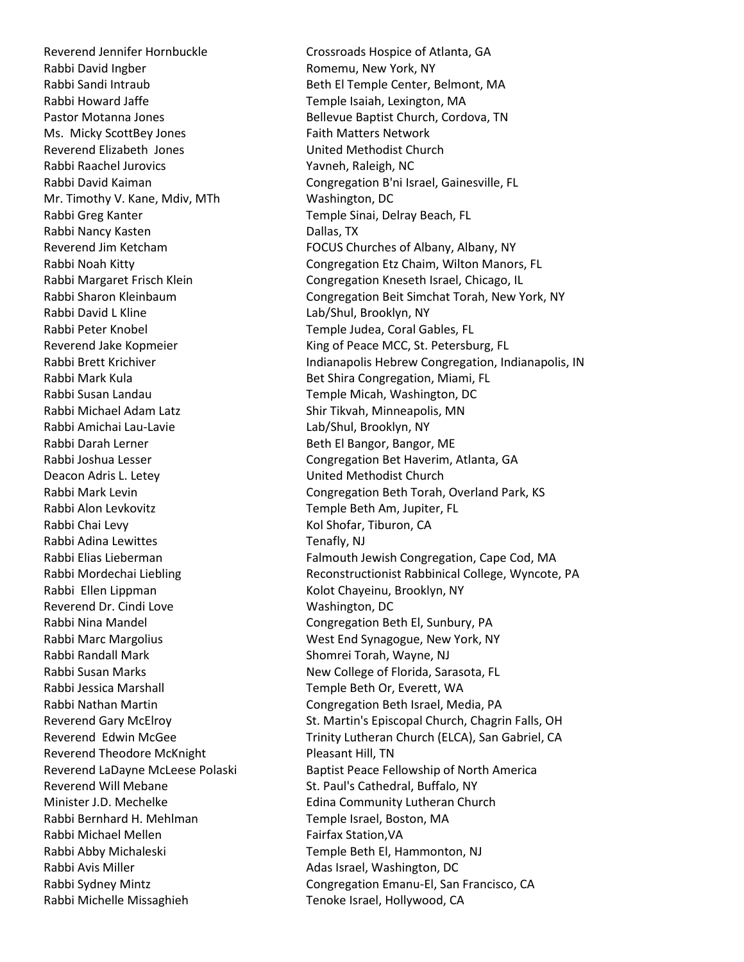Reverend Jennifer Hornbuckle Crossroads Hospice of Atlanta, GA Rabbi David Ingber **Romemu, New York, NY** Rabbi Howard Jaffe Temple Isaiah, Lexington, MA Ms. Micky ScottBey Jones Faith Matters Network Reverend Elizabeth Jones United Methodist Church Rabbi Raachel Jurovics Vavneh, Raleigh, NC Mr. Timothy V. Kane, Mdiv, MTh Washington, DC Rabbi Greg Kanter Temple Sinai, Delray Beach, FL Rabbi Nancy Kasten **Dallas**, TX Rabbi David L Kline Lab/Shul, Brooklyn, NY Rabbi Peter Knobel Temple Judea, Coral Gables, FL Rabbi Mark Kula **Bet Shira Congregation, Miami, FL** Rabbi Susan Landau Temple Micah, Washington, DC Rabbi Michael Adam Latz Shir Tikvah, Minneapolis, MN Rabbi Amichai Lau-Lavie Lab Lab/Shul, Brooklyn, NY Rabbi Darah Lerner Beth El Bangor, Bangor, ME Deacon Adris L. Letey **Example 20 United Methodist Church** Rabbi Alon Levkovitz **Temple Beth Am, Jupiter, FL** Rabbi Chai Levy **Kol Shofar, Tiburon, CA** Rabbi Adina Lewittes Tenafly, NJ Rabbi Ellen Lippman Kolot Chayeinu, Brooklyn, NY Reverend Dr. Cindi Love Washington, DC Rabbi Nina Mandel Congregation Beth El, Sunbury, PA Rabbi Randall Mark Shomrei Torah, Wayne, NJ Rabbi Jessica Marshall **Temple Beth Or, Everett, WA** Reverend Theodore McKnight Pleasant Hill, TN Reverend Will Mebane St. Paul's Cathedral, Buffalo, NY Minister J.D. Mechelke **Edina Community Lutheran Church** Rabbi Bernhard H. Mehlman Temple Israel, Boston, MA Rabbi Michael Mellen Fairfax Station, VA Rabbi Abby Michaleski Temple Beth El, Hammonton, NJ Rabbi Avis Miller **Adas Israel**, Washington, DC Rabbi Michelle Missaghieh Tenoke Israel, Hollywood, CA

Rabbi Sandi Intraub **Beth El Temple Center, Belmont, MA** Pastor Motanna Jones **Bellevue Baptist Church, Cordova, TN** Rabbi David Kaiman Congregation B'ni Israel, Gainesville, FL Reverend Jim Ketcham FOCUS Churches of Albany, Albany, NY Rabbi Noah Kitty Congregation Etz Chaim, Wilton Manors, FL Rabbi Margaret Frisch Klein Congregation Kneseth Israel, Chicago, IL Rabbi Sharon Kleinbaum Congregation Beit Simchat Torah, New York, NY Reverend Jake Kopmeier **King of Peace MCC, St. Petersburg, FL** Rabbi Brett Krichiver **Indianapolis Hebrew Congregation, Indianapolis, IN** Rabbi Joshua Lesser The Congregation Bet Haverim, Atlanta, GA Rabbi Mark Levin **Congregation Beth Torah, Overland Park, KS** Rabbi Elias Lieberman Falmouth Jewish Congregation, Cape Cod, MA Rabbi Mordechai Liebling The Reconstructionist Rabbinical College, Wyncote, PA Rabbi Marc Margolius The March 2008 West End Synagogue, New York, NY Rabbi Susan Marks New College of Florida, Sarasota, FL Rabbi Nathan Martin Congregation Beth Israel, Media, PA Reverend Gary McElroy The St. Martin's Episcopal Church, Chagrin Falls, OH Reverend Edwin McGee Trinity Lutheran Church (ELCA), San Gabriel, CA Reverend LaDayne McLeese Polaski Baptist Peace Fellowship of North America Rabbi Sydney Mintz Congregation Emanu-El, San Francisco, CA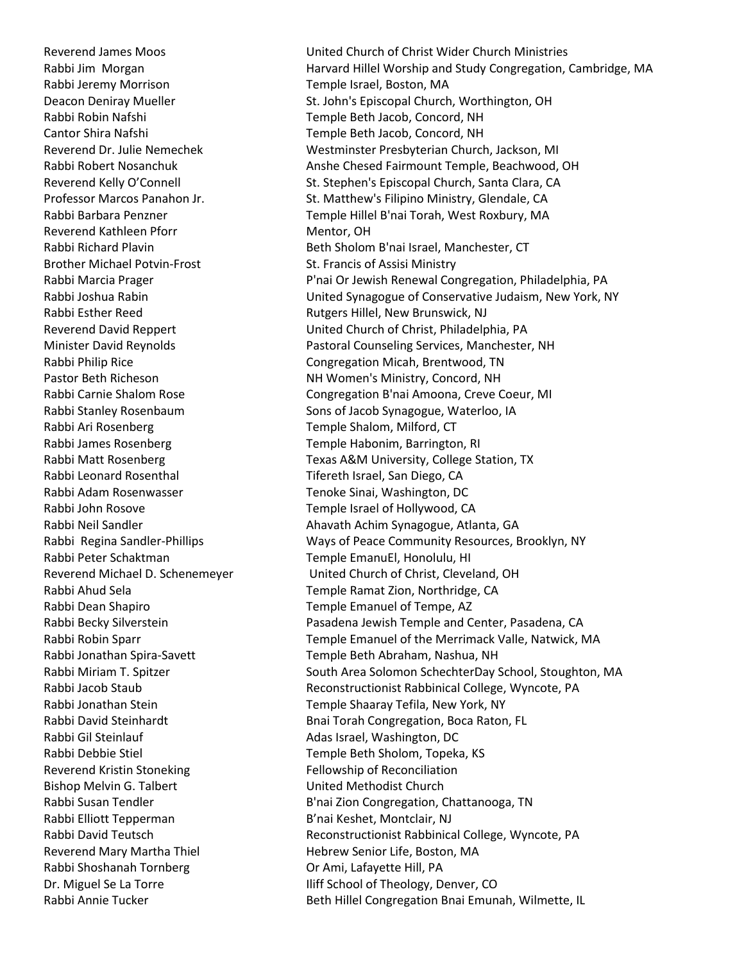Rabbi Jeremy Morrison Temple Israel, Boston, MA Reverend Kathleen Pforr Mentor, OH Brother Michael Potvin-Frost St. Francis of Assisi Ministry Rabbi Ari Rosenberg Temple Shalom, Milford, CT Rabbi James Rosenberg Temple Habonim, Barrington, RI Rabbi Leonard Rosenthal Tifereth Israel, San Diego, CA Rabbi Adam Rosenwasser Tenoke Sinai, Washington, DC Rabbi John Rosove Temple Israel of Hollywood, CA Rabbi Peter Schaktman Temple EmanuEl, Honolulu, HI Rabbi Dean Shapiro Temple Emanuel of Tempe, AZ Rabbi Gil Steinlauf **Adas Israel, Washington, DC** Reverend Kristin Stoneking Fellowship of Reconciliation Bishop Melvin G. Talbert United Methodist Church Rabbi Elliott Tepperman B'nai Keshet, Montclair, NJ Reverend Mary Martha Thiel **Hebrew Senior Life, Boston, MA** Rabbi Shoshanah Tornberg **Or Ami, Lafayette Hill, PA** 

Reverend James Moos United Church of Christ Wider Church Ministries Rabbi Jim Morgan **Harvard Hillel Worship and Study Congregation**, Cambridge, MA Deacon Deniray Mueller **St. John's Episcopal Church, Worthington, OH** Rabbi Robin Nafshi Temple Beth Jacob, Concord, NH Cantor Shira Nafshi Temple Beth Jacob, Concord, NH Reverend Dr. Julie Nemechek Westminster Presbyterian Church, Jackson, MI Rabbi Robert Nosanchuk Anshe Chesed Fairmount Temple, Beachwood, OH Reverend Kelly O'Connell St. Stephen's Episcopal Church, Santa Clara, CA Professor Marcos Panahon Jr. St. Matthew's Filipino Ministry, Glendale, CA Rabbi Barbara Penzner Temple Hillel B'nai Torah, West Roxbury, MA Rabbi Richard Plavin **Beth Sholom B'nai Israel, Manchester, CT** Rabbi Marcia Prager **P'nai Or Jewish Renewal Congregation, Philadelphia, PA** Rabbi Joshua Rabin United Synagogue of Conservative Judaism, New York, NY Rabbi Esther Reed Rutgers Hillel, New Brunswick, NJ Reverend David Reppert United Church of Christ, Philadelphia, PA Minister David Reynolds Pastoral Counseling Services, Manchester, NH Rabbi Philip Rice **Congregation Micah, Brentwood, TN** Pastor Beth Richeson **NH Women's Ministry, Concord, NH** Rabbi Carnie Shalom Rose Congregation B'nai Amoona, Creve Coeur, MI Rabbi Stanley Rosenbaum Sons of Jacob Synagogue, Waterloo, IA Rabbi Matt Rosenberg Texas A&M University, College Station, TX Rabbi Neil Sandler **Ahavath Achim Synagogue, Atlanta**, GA Rabbi Regina Sandler-Phillips Ways of Peace Community Resources, Brooklyn, NY Reverend Michael D. Schenemeyer United Church of Christ, Cleveland, OH Rabbi Ahud Sela Temple Ramat Zion, Northridge, CA Rabbi Becky Silverstein Pasadena Jewish Temple and Center, Pasadena, CA Rabbi Robin Sparr Temple Emanuel of the Merrimack Valle, Natwick, MA Rabbi Jonathan Spira-Savett Temple Beth Abraham, Nashua, NH Rabbi Miriam T. Spitzer South Area Solomon SchechterDay School, Stoughton, MA Rabbi Jacob Staub **Reconstructionist Rabbinical College, Wyncote, PA** Rabbi Jonathan Stein Temple Shaaray Tefila, New York, NY Rabbi David Steinhardt **Banan Brand Congregation**, Boca Raton, FL Rabbi Debbie Stiel Temple Beth Sholom, Topeka, KS Rabbi Susan Tendler **B'nai Zion Congregation, Chattanooga, TN** Rabbi David Teutsch **Reconstructionist Rabbinical College, Wyncote, PA** Dr. Miguel Se La Torre **International Security** Iliff School of Theology, Denver, CO Rabbi Annie Tucker **Beth Hillel Congregation Bnai Emunah, Wilmette, IL**